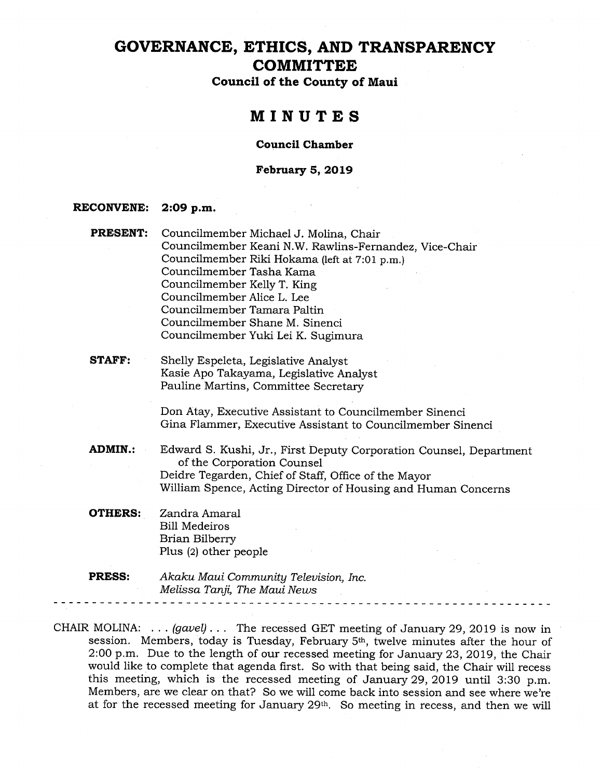# GOVERNANCE, ETHICS, AND TRANSPARENCY **COMMITTEE**

Council of the County of Maui

### MINUTES

#### Council Chamber

### February 5, 2019

#### RECONVENE: 2:09 p.m.

- PRESENT: Councilmember Michael J. Molina, Chair Councilmember Keani N.W. Rawlins-Fernandez, Vice-Chair Councilmember Riki Hokama (left at 7:01 p.m.) Councilmember Tasha Kama Councilmember Kelly T. King Councilmember Alice L. Lee Councilmember Tamara Paltin Councilmember Shane M. Sinenci Councilmember Yuki Lei K. Sugimura
- STAFF: Shelly Espeleta, Legislative Analyst Kasie Apo Takayama, Legislative Analyst Pauline Martins, Committee Secretary

Don Atay, Executive Assistant to Councilmember Sinenci Gina Flammer, Executive Assistant to Councilmember Sinenci

- ADMIN.: Edward S. Kushi, Jr., First Deputy Corporation Counsel, Department of the Corporation Counsel Deidre Tegarden, Chief of Staff, Office of the Mayor William Spence, Acting Director of Housing and Human Concerns
- **OTHERS:** Zandra Amaral Bill Medeiros Brian Bilberry Plus (2) other people
- PRESS: Akaku Maui Community Television, Inc. Melissa Tanji, The Maui News - - - - - - - - - - - - - - -

CHAIR MOLINA:  $\ldots$  (gavel)... The recessed GET meeting of January 29, 2019 is now in session. Members, today is Tuesday, February 5th, twelve minutes after the hour of 2:00 p.m. Due to the length of our recessed meeting for January 23, 2019, the Chair would like to complete that agenda first. So with that being said, the Chair will recess this meeting, which is the recessed meeting of January 29, 2019 until 3:30 p.m. Members, are we clear on that? So we will come back into session and see where we're at for the recessed meeting for January 29th. So meeting in recess, and then we will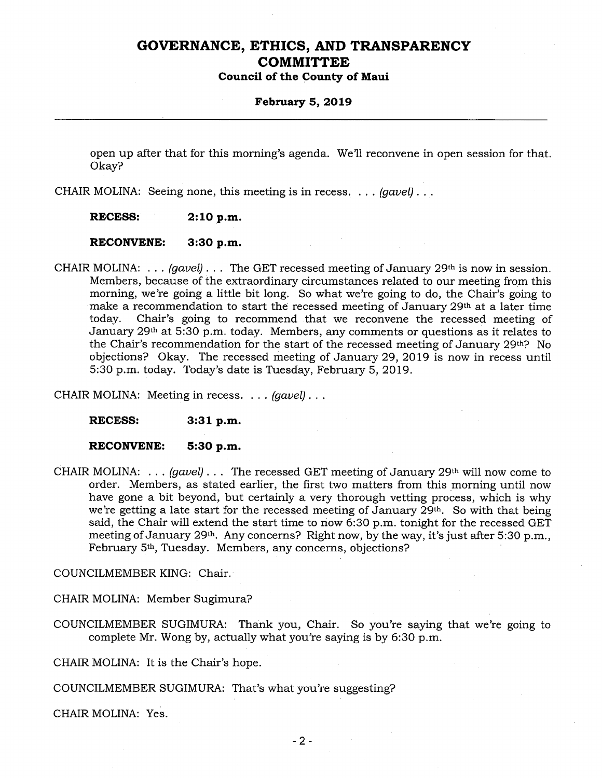### February 5, 2019

open up after that for this morning's agenda. We'll reconvene in open session for that. Okay?

CHAIR MOLINA: Seeing none, this meeting is in recess.  $\ldots$  (gavel)...

RECESS: 2:10 p.m.

RECONVENE: 3:30 p.m.

CHAIR MOLINA: ...  $(gavel)$ ... The GET recessed meeting of January 29<sup>th</sup> is now in session. Members, because of the extraordinary circumstances related to our meeting from this morning, we're going a little bit long. So what we're going to do, the Chair's going to make a recommendation to start the recessed meeting of January 29th at a later time today. Chair's going to recommend that we reconvene the recessed meeting of January  $29<sup>th</sup>$  at 5:30 p.m. today. Members, any comments or questions as it relates to the Chair's recommendation for the start of the recessed meeting of January 29th? No objections? Okay. The recessed meeting of January 29, 2019 is now in recess until 5:30 p.m. today. Today's date is Tuesday, February 5, 2019.

CHAIR MOLINA: Meeting in recess. . . . *(gavel)* . . .

RECESS: 3:31 p.m.

RECONVENE: 5:30 p.m.

CHAIR MOLINA: ...  $(gavel)$ ... The recessed GET meeting of January 29<sup>th</sup> will now come to order. Members, as stated earlier, the first two matters from this morning until now have gone a bit beyond, but certainly a very thorough vetting process, which is why we're getting a late start for the recessed meeting of January 29th. So with that being said, the Chair will extend the start time to now 6:30 p.m. tonight for the recessed GET meeting of January 29<sup>th</sup>. Any concerns? Right now, by the way, it's just after 5:30 p.m., February 5th, Tuesday. Members, any concerns, objections?

COUNCILMEMBER KING: Chair.

CHAIR MOLINA: Member Sugimura?

COUNCILMEMBER SUGIMURA: Thank you, Chair. So you're saying that we're going to complete Mr. Wong by, actually what you're saying is by 6:30 p.m.

CHAIR MOLINA: It is the Chair's hope.

COUNCILMEMBER SUGIMURA: That's what you're suggesting?

CHAIR MOLINA: Yes.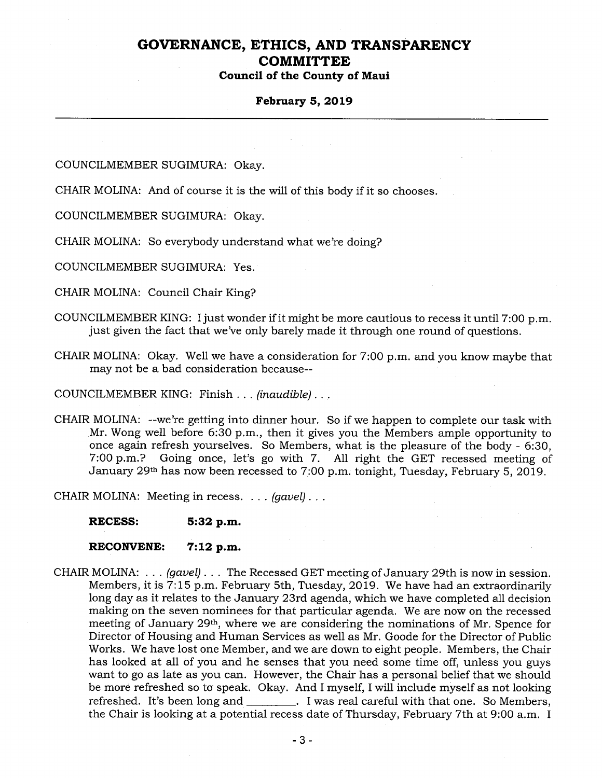### February 5, 2019

COUNCILMEMBER SUGIMURA: Okay.

CHAIR MOLINA: And of course it is the will of this body if it so chooses.

COUNCILMEMBER SUGIMURA: Okay.

CHAIR MOLINA: So everybody understand what we're doing?

COUNCILMEMBER SUGIMURA: Yes.

CHAIR MOLINA: Council Chair King?

- COUNCILMEMBER KING: Ijust wonder if it might be more cautious to recess it until 7:00 p.m. just given the fact that we've only barely made it through one round of questions.
- CHAIR MOLINA: Okay. Well we have a consideration for 7:00 p.m. and you know maybe that may not be a bad consideration because-

COUNCILMEMBER KING: Finish... (inaudible)...

CHAIR MOLINA: --we're getting into dinner hour. So if we happen to complete our task with Mr. Wong well before 6:30 p.m., then it gives you the Members ample opportunity to once again refresh yourselves. So Members, what is the pleasure of the body - 6:30, 7:00 p.m.? Going once, let's go with 7. All right the GET recessed meeting of January 29th has now been recessed to 7:00 p.m. tonight, Tuesday, February 5, 2019.

CHAIR MOLINA: Meeting in recess. . . . *(gavel)* . . .

RECESS: 5:32 p.m.

RECONVENE: 7:12 p.m.

CHAIR MOLINA:  $\ldots$  (gavel)... The Recessed GET meeting of January 29th is now in session. Members, it is 7:15 p.m. February 5th, Tuesday, 2019. We have had an extraordinarily long day as it relates to the January 23rd agenda, which we have completed all decision making on the seven nominees for that particular agenda. We are now on the recessed meeting of January 29th, where we are considering the nominations of Mr. Spence for Director of Housing and Human Services as well as Mr. Goode for the Director of Public Works. We have lost one Member, and we are down to eight people. Members, the Chair has looked at all of you and he senses that you need some time off, unless you guys want to go as late as you can. However, the Chair has a personal belief that we should be more refreshed so to speak. Okay. And I myself, I will include myself as not looking refreshed. It's been long and \_\_\_\_\_\_\_\_. I was real careful with that one. So Members, the Chair is looking at a potential recess date of Thursday, February 7th at 9:00 a.m. I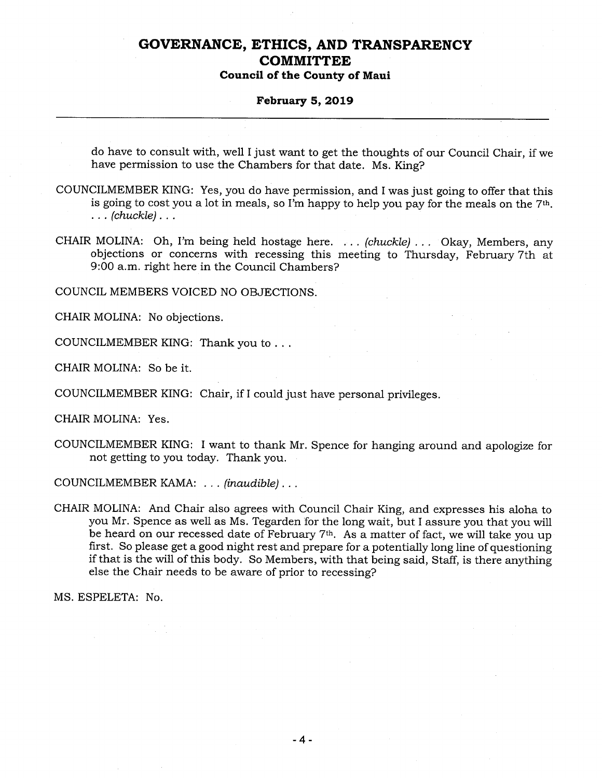#### February 5, 2019

do have to consult with, well <sup>I</sup> just want to get the thoughts of our Council Chair, if we have permission to use the Chambers for that date. Ms. King?

- COUNCILMEMBER KING: Yes, you do have permission, and I was just going to offer that this is going to cost you a lot in meals, so I'm happy to help you pay for the meals on the 7th.  $\ldots$  (chuckle)...
- CHAIR MOLINA: Oh, I'm being held hostage here. ... (chuckle)... Okay, Members, any objections or concerns with recessing this meeting to Thursday, February 7th at 9:00 a.m. right here in the Council Chambers?

COUNCIL MEMBERS VOICED NO OBJECTIONS.

CHAIR MOLINA: No objections.

COUNCILMEMBER KING: Thank you to...

CHAIR MOLINA: So be it.

COUNCILMEMBER KING: Chair, if <sup>I</sup> could just have personal privileges.

CHAIR MOLINA: Yes.

COUNCILMEMBER KING: I want to thank Mr. Spence for hanging around and apologize for not getting to you today. Thank you.

COUNCILMEMBER KAMA: ... (inaudible)...

CHAIR MOLINA: And Chair also agrees with Council Chair King, and expresses his aloha to you Mr. Spence as well as Ms. Tegarden for the long wait, but I assure you that you will be heard on our recessed date of February  $7<sup>th</sup>$ . As a matter of fact, we will take you up first. So please get a good night rest and prepare for a potentially long line of questioning if that is the will of this body. So Members, with that being said, Staff, is there anything else the Chair needs to be aware of prior to recessing?

MS. ESPELETA: No.